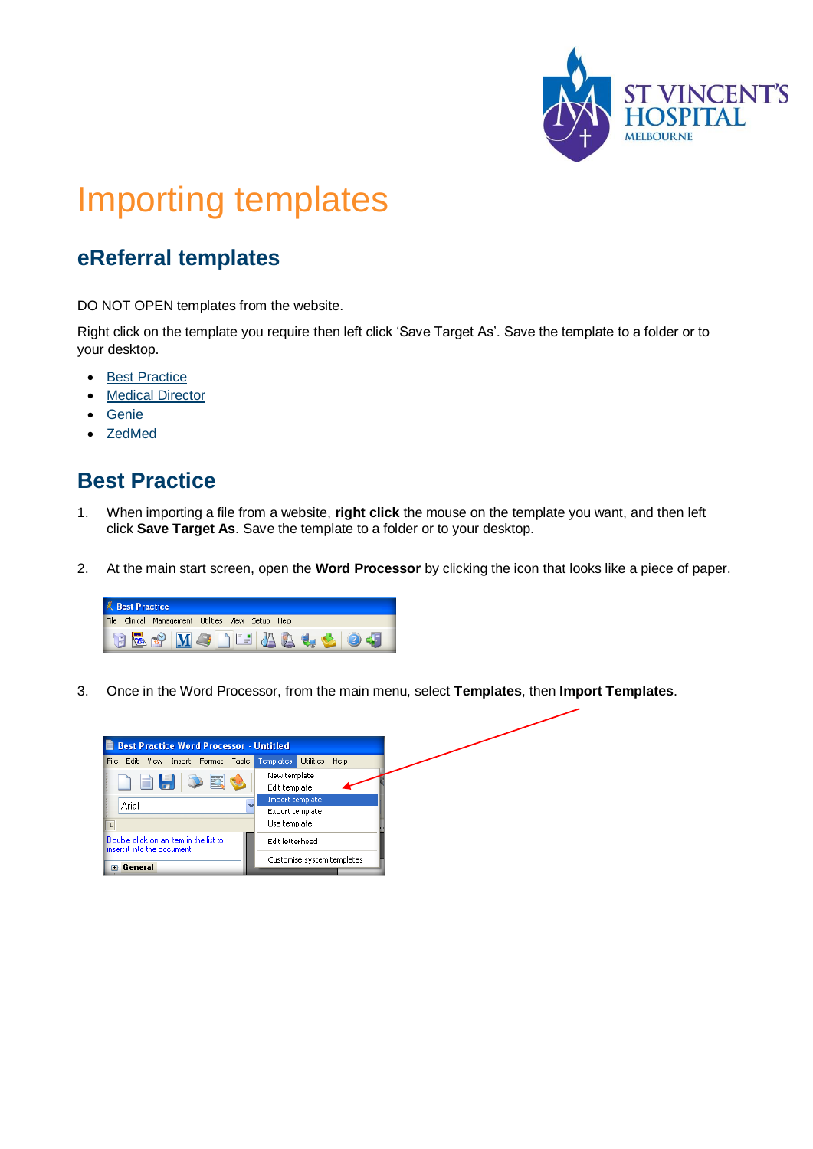

# Importing templates

## **eReferral templates**

DO NOT OPEN templates from the website.

Right click on the template you require then left click 'Save Target As'. Save the template to a folder or to your desktop.

- [Best Practice](#page-0-0)
- **[Medical Director](#page-1-0)**
- [Genie](#page-3-0)
- [ZedMed](#page-4-0)

### <span id="page-0-0"></span>**Best Practice**

- 1. When importing a file from a website, **right click** the mouse on the template you want, and then left click **Save Target As**. Save the template to a folder or to your desktop.
- 2. At the main start screen, open the **Word Processor** by clicking the icon that looks like a piece of paper.



3. Once in the Word Processor, from the main menu, select **Templates**, then **Import Templates**.

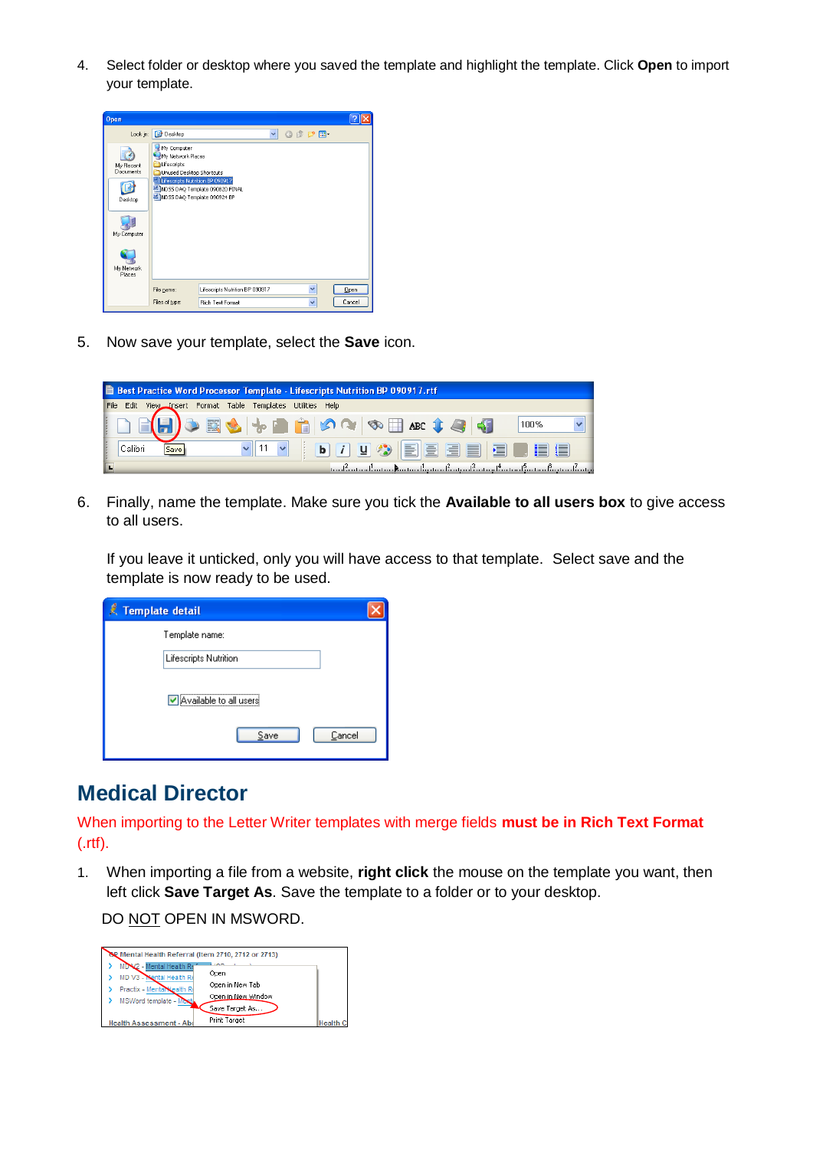4. Select folder or desktop where you saved the template and highlight the template. Click **Open** to import your template.



5. Now save your template, select the **Save** icon.

|                                                             | Best Practice Word Processor Template - Lifescripts Nutrition BP 090917.rtf |
|-------------------------------------------------------------|-----------------------------------------------------------------------------|
| File Edit View Insert Format Table Templates Utilities Help |                                                                             |
|                                                             | 100%                                                                        |
| Calibri<br>Save                                             | VII V   D J U O   E E E E E E E                                             |
|                                                             | <u>understadtusen, kassa dipsaalensaalinsen linsaalinsaalinpuolinsa</u>     |

6. Finally, name the template. Make sure you tick the **Available to all users box** to give access to all users.

If you leave it unticked, only you will have access to that template. Select save and the template is now ready to be used.

| Template detail        |  |
|------------------------|--|
| Template name:         |  |
| Lifescripts Nutrition  |  |
| Available to all users |  |
| Cancel<br>Save         |  |

### <span id="page-1-0"></span>**Medical Director**

When importing to the Letter Writer templates with merge fields **must be in Rich Text Format**  (.rtf).

1. When importing a file from a website, **right click** the mouse on the template you want, then left click **Save Target As**. Save the template to a folder or to your desktop.

DO NOT OPEN IN MSWORD.

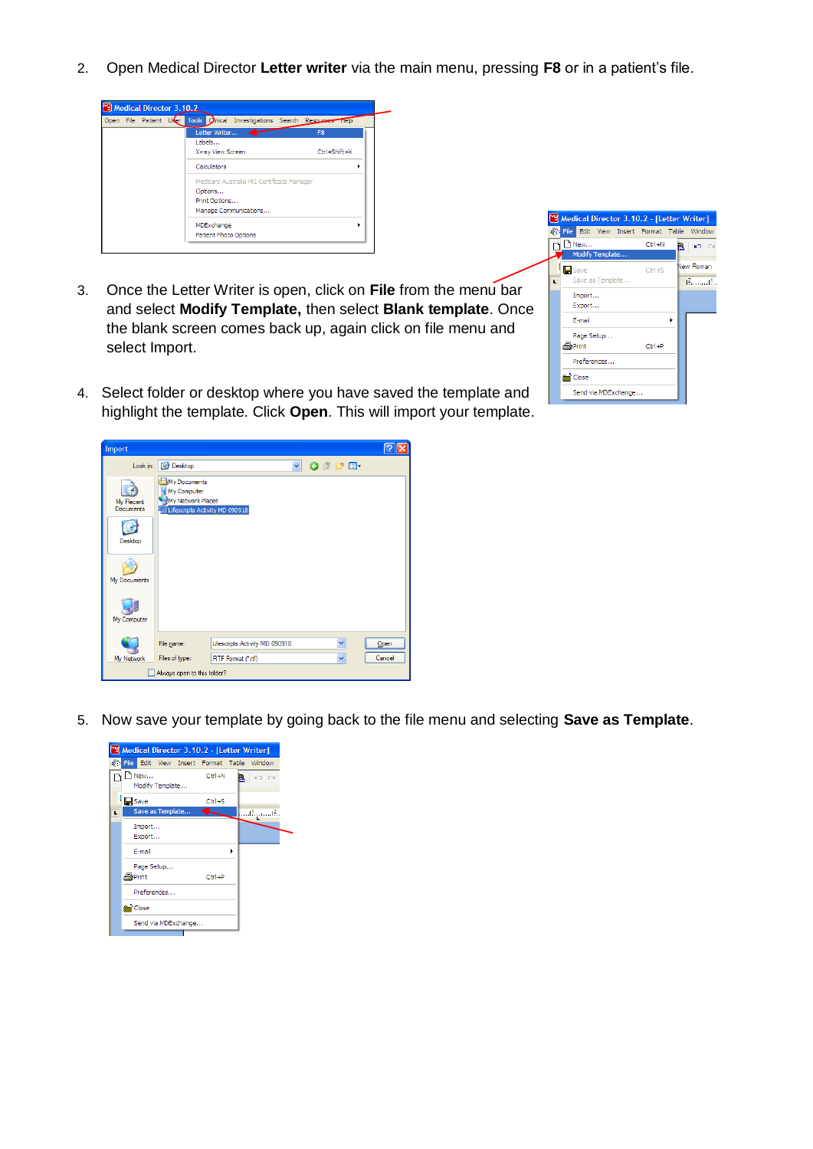2. Open Medical Director **Letter writer** via the main menu, pressing **F8** or in a patient's file.



- 3. Once the Letter Writer is open, click on **File** from the menu bar and select **Modify Template,** then select **Blank template**. Once the blank screen comes back up, again click on file menu and select Import.
- 4. Select folder or desktop where you have saved the template and highlight the template. Click **Open**. This will import your template.



Look in: **[@** Desktop v Odpe-My Documents B My Computer My Network Places My Recent<br>Documents the MD 000019 C Desktop H

Lifescripts Activity MD 090918

RTF Format (\*.rtf)

5. Now save your template by going back to the file menu and selecting **Save as Template**.

 $\vert$   $\vert$ 

 $Qpen$ 

Cancel



My Documents

一 My Computer 

My Netwo

File name:

Files of type:

Always open to this folder?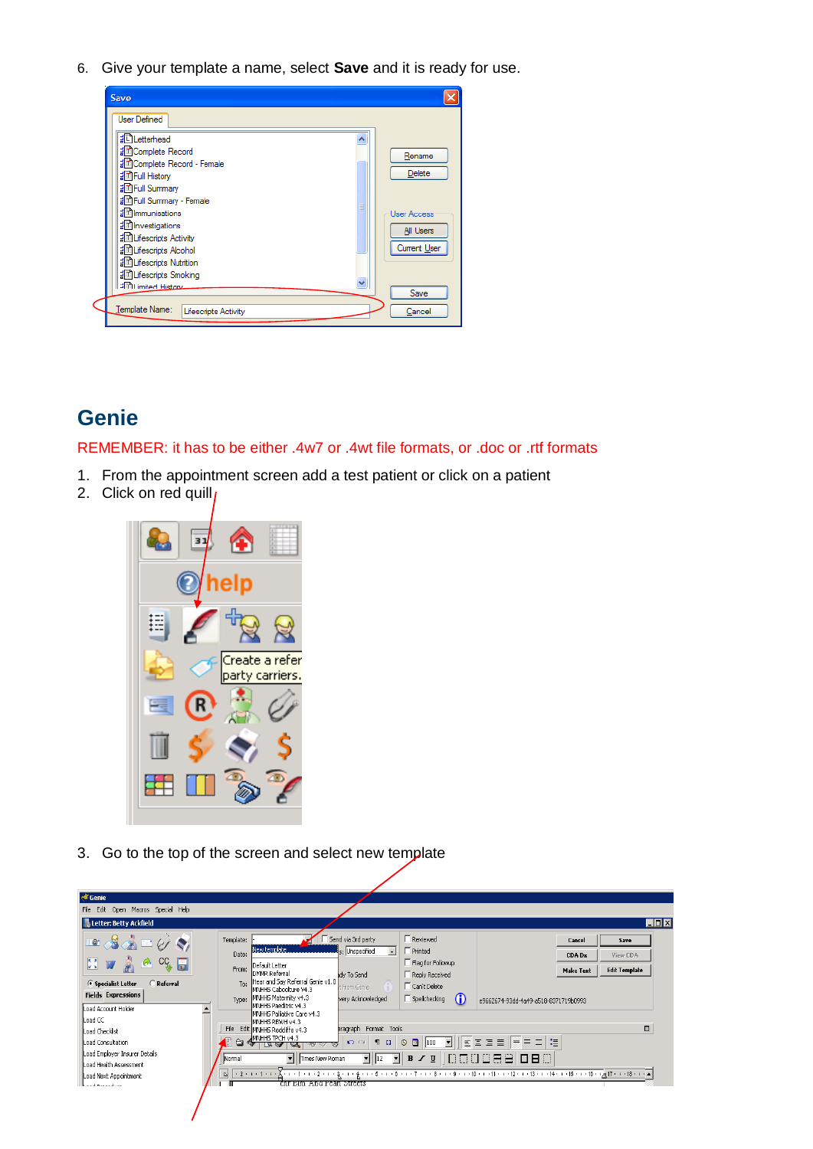6. Give your template a name, select **Save** and it is ready for use.



### <span id="page-3-0"></span>**Genie**

#### REMEMBER: it has to be either .4w7 or .4wt file formats, or .doc or .rtf formats

- 1. From the appointment screen add a test patient or click on a patient
- 2. Click on red quill



3. Go to the top of the screen and select new template

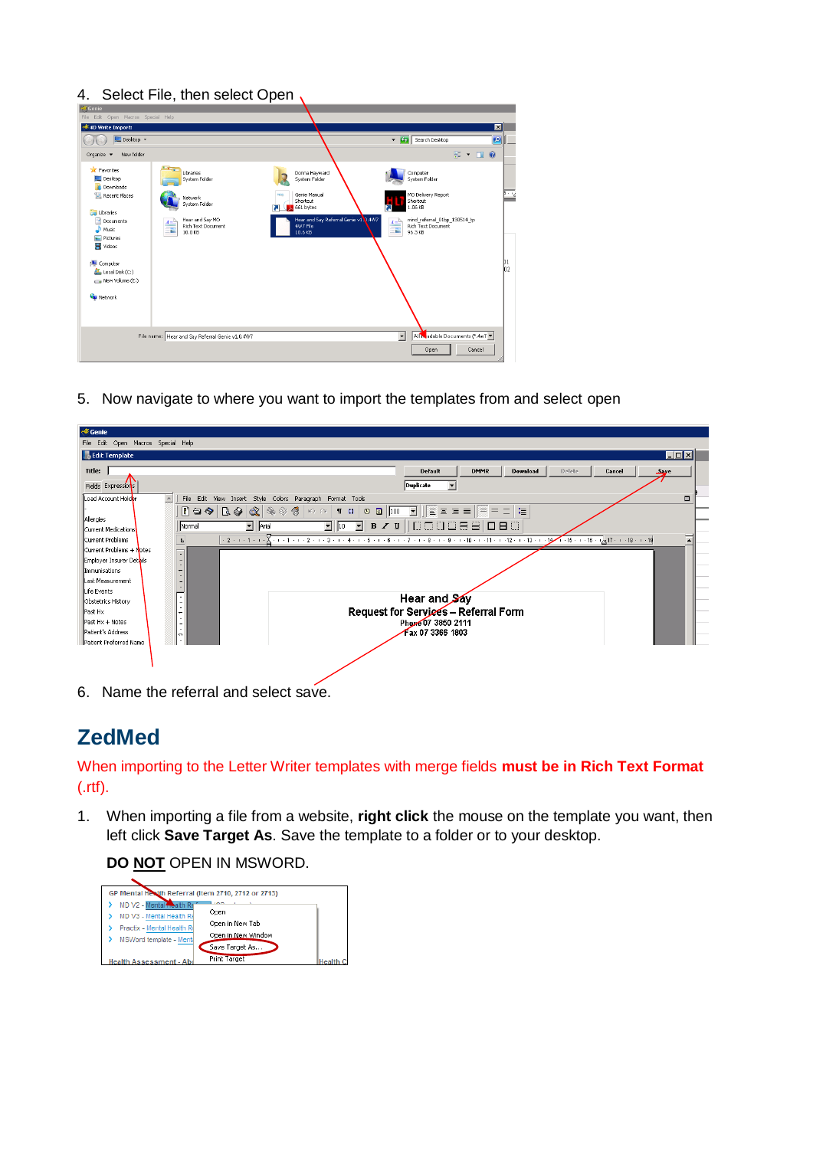#### 4. Select File, then select Open,

| <b>S</b> Genie<br>File Edit Open Macros Special Help |                                                                 |                                                             |                                                                                                |            |
|------------------------------------------------------|-----------------------------------------------------------------|-------------------------------------------------------------|------------------------------------------------------------------------------------------------|------------|
| <sup>*</sup> 4D Write Import:                        |                                                                 |                                                             | $\blacksquare$                                                                                 |            |
| Desktop -                                            |                                                                 |                                                             | $-12$<br>$\bullet$<br>Search Desktop                                                           |            |
| New folder<br>Organize $\blacktriangledown$          |                                                                 |                                                             | $\frac{1}{2}$ $\bullet$ $\frac{1}{2}$ $\bullet$                                                |            |
| <b>X</b> Favorites<br>Desktop<br><b>Downloads</b>    | $\overline{a}$<br>Libraries<br>System Folder                    | Donna Havward<br>System Folder                              | Computer<br>System Folder                                                                      |            |
| Recent Places<br>Libraries                           | Network<br>System Folder                                        | Genie Manual<br>Shortcut<br>661 bytes                       | MO Delivery Report<br>Shortcut<br>1.06 KB                                                      | Bing       |
| Documents<br><sup>D</sup> Music<br><b>Pictures</b>   | Hear and Say MO<br>$A =$<br>Rich Text Document<br>72<br>10.0 KB | Hear and Say Referral Genie v1.1.4W7<br>4W7 File<br>10.6 KB | mind_referral_01bp_130514_tp<br>$\frac{A \equiv b}{\equiv b}$<br>Rich Text Document<br>96.3 KB |            |
| Videos<br>Computer                                   |                                                                 |                                                             |                                                                                                | $\n  D1\n$ |
| Local Disk (C:)<br>New Volume (E:)                   |                                                                 |                                                             |                                                                                                | b2         |
| <b>Ciu</b> Network                                   |                                                                 |                                                             |                                                                                                |            |
|                                                      | File name: Hear and Say Referral Genie v1.0.4W7                 |                                                             | All Nadable Documents (*.4w7 =<br>$\overline{\phantom{a}}$                                     |            |
|                                                      |                                                                 |                                                             | Cancel<br>Open                                                                                 |            |

5. Now navigate to where you want to import the templates from and select open

| Open Macros Special Help<br>File Edit     |                                                                                                                                          |
|-------------------------------------------|------------------------------------------------------------------------------------------------------------------------------------------|
| <b>B</b> Edit Template                    | <b>EDE</b>                                                                                                                               |
| Title:                                    | Default<br><b>DMMR</b><br><b>Download</b><br>Delete<br>Cancel<br>ا پند                                                                   |
| Fields Expressions                        | Duplicate<br>$\overline{\phantom{a}}$                                                                                                    |
| $\blacktriangle$<br>Load Account Holder   | $\Box$<br>File Edit View Insert Style Colors Paragraph Format Tools                                                                      |
|                                           | 『□◆ BI-9  &   �� ※ ※   ∽ ∼   ¶ □   ⊙ · □   100 · □      ≣ ≡ ≡ ≡    = = 二   ≒                                                             |
| Allergies                                 | $\blacksquare$ Arial<br>000088080<br>Normal                                                                                              |
| Current Medications                       |                                                                                                                                          |
| Current Problems                          | ↴<br>$\overline{\mathsf{D}}$<br>$+2+1+1+1+\sqrt{1+1+1+1+2+1+3+1+4+1+5+1+6+1+8+1+7+1+8+1+9+1+10+1+11+1+12+1+13+1+14+16+16+17+11+18+1+18}$ |
| Current Problems + Notes                  |                                                                                                                                          |
| Employer Insurer Details<br>Immunisations |                                                                                                                                          |
| Last Measurement                          | $\begin{array}{c} \bullet \\ \bullet \\ \bullet \end{array}$                                                                             |
| Life Events                               |                                                                                                                                          |
| Obstetrics History                        | T<br>Hear and Say                                                                                                                        |
| Past Hx                                   | ٠<br><b>Request for Services - Referral Form</b><br>÷                                                                                    |
| Past Hx + Notes                           | ċ.<br>Phone 07 3850 2111                                                                                                                 |
| Patient's Address                         | $\sim$ 1<br>Fax 07 3366 1803<br>$\sim$                                                                                                   |
| Patient Preferred Name                    |                                                                                                                                          |
|                                           |                                                                                                                                          |
|                                           |                                                                                                                                          |

<span id="page-4-0"></span>6. Name the referral and select save.

### **ZedMed**

#### When importing to the Letter Writer templates with merge fields **must be in Rich Text Format**  (.rtf).

1. When importing a file from a website, **right click** the mouse on the template you want, then left click **Save Target As**. Save the template to a folder or to your desktop.

#### **DO NOT** OPEN IN MSWORD.

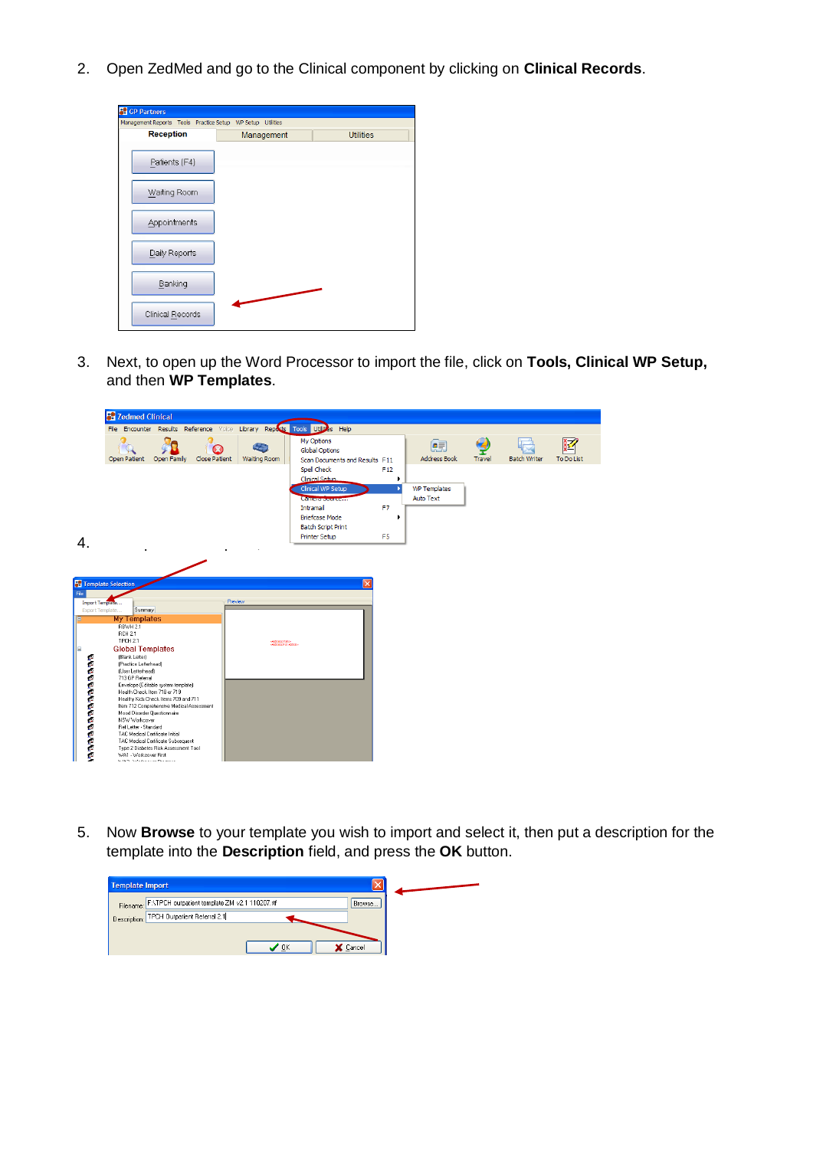2. Open ZedMed and go to the Clinical component by clicking on **Clinical Records**.

| <b>CP Partners</b>                                         |            |                  |
|------------------------------------------------------------|------------|------------------|
| Management Reports Tools Practice Setup WP Setup Utilities |            |                  |
| <b>Reception</b>                                           | Management | <b>Utilities</b> |
| Patients (F4)                                              |            |                  |
| Waiting Room                                               |            |                  |
| Appointments                                               |            |                  |
| Daily Reports                                              |            |                  |
| Banking                                                    |            |                  |
| Clinical Records                                           |            |                  |

3. Next, to open up the Word Processor to import the file, click on **Tools, Clinical WP Setup,**  and then **WP Templates**.

|                                                                                                       | <b>Co</b> Zedmed Clinical                                                                                                                                                                                                                                                                                                                                                                                                      |                                                                                                                                                                                                        |                      |                                            |                                                                                                                                                           |                                         |                                         |               |                     |            |
|-------------------------------------------------------------------------------------------------------|--------------------------------------------------------------------------------------------------------------------------------------------------------------------------------------------------------------------------------------------------------------------------------------------------------------------------------------------------------------------------------------------------------------------------------|--------------------------------------------------------------------------------------------------------------------------------------------------------------------------------------------------------|----------------------|--------------------------------------------|-----------------------------------------------------------------------------------------------------------------------------------------------------------|-----------------------------------------|-----------------------------------------|---------------|---------------------|------------|
|                                                                                                       |                                                                                                                                                                                                                                                                                                                                                                                                                                |                                                                                                                                                                                                        |                      |                                            | File Encounter Results Reference Voice Library Reputs Tools Utilities Help                                                                                |                                         |                                         |               |                     |            |
|                                                                                                       | Open Patient                                                                                                                                                                                                                                                                                                                                                                                                                   | Open Family                                                                                                                                                                                            | <b>Close Patient</b> | Waiting Room                               | My Options<br><b>Global Options</b><br>Scan Documents and Results F11                                                                                     |                                         | 便<br><b>Address Book</b>                | <b>Travel</b> | <b>Batch Writer</b> | To Do List |
| 4.                                                                                                    |                                                                                                                                                                                                                                                                                                                                                                                                                                |                                                                                                                                                                                                        |                      |                                            | Spell Check<br>Clinical Setup<br>Clinical WP Setup<br>Camera Sourcern<br>Intramail<br><b>Briefcase Mode</b><br><b>Batch Script Print</b><br>Printer Setup | F12<br>F <sub>7</sub><br>F <sub>5</sub> | <b>WP Templates</b><br><b>Auto Text</b> |               |                     |            |
| File<br>Import Template<br>Export Template<br>Е<br>$\qquad \qquad \blacksquare$<br><b>ISSOCIATION</b> | <b>Co</b> Template Selection<br>Summary<br><b>My Templates</b><br>RBWH 2.1<br><b>RCH 2.1</b><br>TPCH 2.1<br><b>Global Templates</b><br>(Blank Letter)<br>(Practice Letterhead)<br>(User Letterhead)<br>713 GP Referral<br>Health Check Item 718 or 719<br>Mood Disorder Questionnaire<br>NSW Workcover<br>Ref Letter - Standard<br>TAC Medical Certificate Initial<br>WA1 - Workcover First<br>Schliff - Schulzzauer, Benanner | Envelope (Editable system template)<br>Healthy Kids Check Items 709 and 711<br>Item 712 Comprehensive Medical Assessment<br>TAC Medical Certificate Subsequent<br>Type 2 Diabetes Risk Assessment Tool | Preview              | «Address of and»<br>Administrative Address |                                                                                                                                                           | ×                                       |                                         |               |                     |            |

5. Now **Browse** to your template you wish to import and select it, then put a description for the template into the **Description** field, and press the **OK** button.

| Template Import |                                                                     |  |  |  |
|-----------------|---------------------------------------------------------------------|--|--|--|
|                 | Filename: F: VTPCH outpatient template ZM v2.1 110207.rtf<br>Browse |  |  |  |
|                 | Description: TPCH Outpatient Referral 2.1                           |  |  |  |
|                 |                                                                     |  |  |  |
|                 | X Cancel<br>ΟK                                                      |  |  |  |